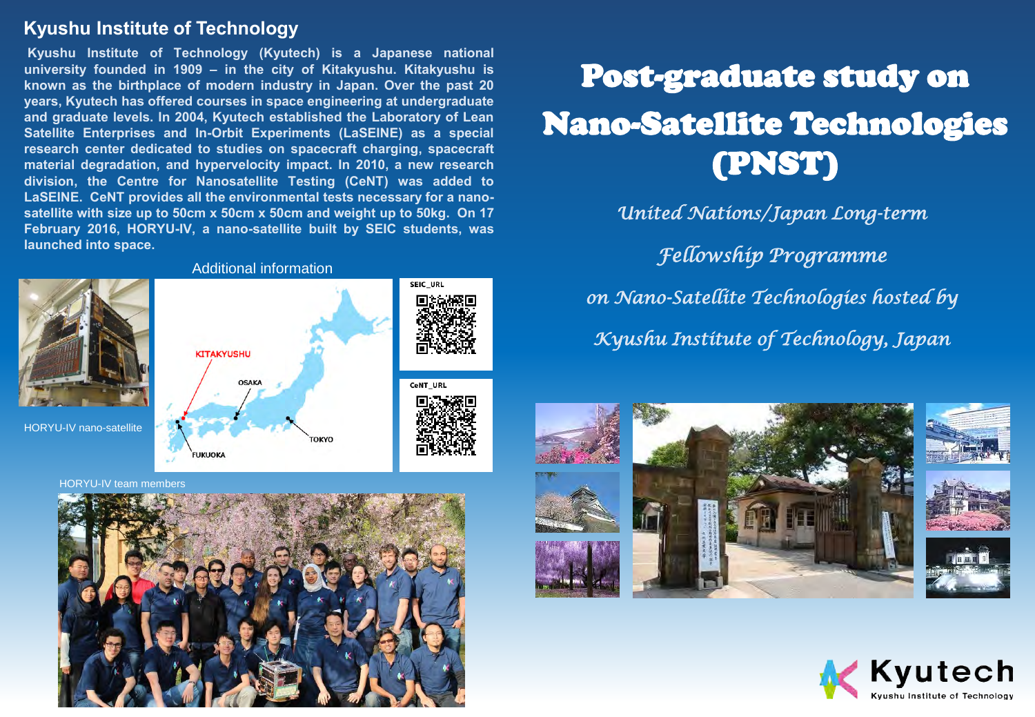#### **Kyushu Institute of Technology**

**Kyushu Institute of Technology (Kyutech) is a Japanese national university founded in 1909 – in the city of Kitakyushu. Kitakyushu is known as the birthplace of modern industry in Japan. Over the past 20 years, Kyutech has offered courses in space engineering at undergraduate and graduate levels. In 2004, Kyutech established the Laboratory of Lean Satellite Enterprises and In-Orbit Experiments (LaSEINE) as a special research center dedicated to studies on spacecraft charging, spacecraft material degradation, and hypervelocity impact. In 2010, a new research division, the Centre for Nanosatellite Testing (CeNT) was added to LaSEINE. CeNT provides all the environmental tests necessary for a nanosatellite with size up to 50cm x 50cm x 50cm and weight up to 50kg. On 17 February 2016, HORYU-IV, a nano-satellite built by SEIC students, was launched into space.**



Additional information

**OSAKA** 

**TOKYO** 

# CeNT\_URL

**SEIC URL** 



## Post-graduate study on Nano-Satellite Technologies (PNST)

*United Nations/Japan Long-term* 

*Fellowship Programme on Nano-Satellite Technologies hosted by* 

*Kyushu Institute of Technology, Japan*